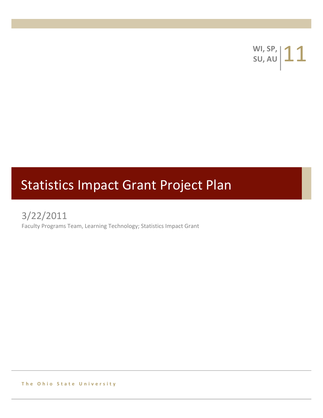**WI, SP, 11** 

# Statistics Impact Grant Project Plan

3/22/2011

Faculty Programs Team, Learning Technology; Statistics Impact Grant

**The Ohio State University**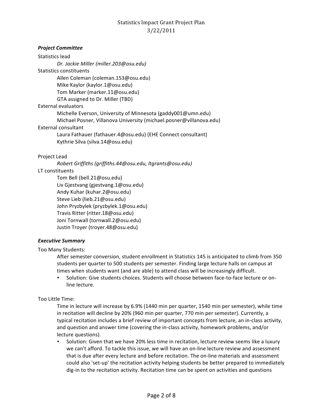#### *Project!Committee*

Statistics lead *Dr.\$Jackie\$Miller\$(miller.203@osu.edu)* Statistics constituents Allen Coleman (coleman.153@osu.edu) Mike Kaylor (kaylor.1@osu.edu) Tom Marker (marker.11@osu.edu) GTA assigned to Dr. Miller (TBD) External evaluators Michelle Everson, University of Minnesota (gaddy001@umn.edu) Michael Posner, Villanova University (michael.posner@villanova.edu) External consultant Laura Fathauer (fathauer.4@osu.edu) (EHE Connect consultant) Kythrie Silva (silva.14@osu.edu)

#### Project Lead

*Robert\$Griffiths\$(griffiths.44@osu.edu,\$ltgrants@osu.edu)*

#### LT constituents

Tom Bell (bell.21@osu.edu) Liv Gjestvang (gjestvang.1@osu.edu) Andy Kuhar (kuhar.2@osu.edu) Steve Lieb (lieb.21@osu.edu) John Pryzbylek (pryzbylek.1@osu.edu) Travis Ritter (ritter.18@osu.edu) Joni Tornwall (tornwall.2@osu.edu) Justin Troyer (troyer.48@osu.edu)

#### **Executive Summary**

Too Many Students:

After semester conversion, student enrollment in Statistics 145 is anticipated to climb from 350 students per quarter to 500 students per semester. Finding large lecture halls on campus at times when students want (and are able) to attend class will be increasingly difficult.

Solution: Give students choices. Students will choose between face-to-face lecture or online lecture.

#### Too Little Time:

Time in lecture will increase by 6.9% (1440 min per quarter, 1540 min per semester), while time in recitation will decline by 20% (960 min per quarter, 770 min per semester). Currently, a typical recitation includes a brief review of important concepts from lecture, an in-class activity, and question and answer time (covering the in-class activity, homework problems, and/or lecture questions).

• Solution: Given that we have 20% less time in recitation, lecture review seems like a luxury we can't afford. To tackle this issue, we will have an on-line lecture review and assessment that is due after every lecture and before recitation. The on-line materials and assessment could also 'set-up' the recitation activity helping students be better prepared to immediately dig-in to the recitation activity. Recitation time can be spent on activities and questions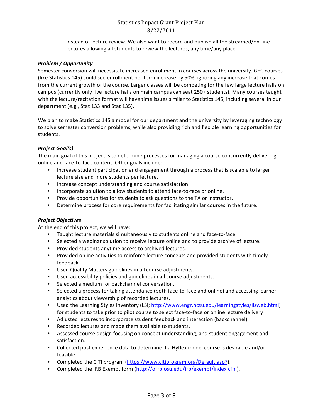instead of lecture review. We also want to record and publish all the streamed/on-line lectures allowing all students to review the lectures, any time/any place.

#### *Problem!/!Opportunity*

Semester conversion will necessitate increased enrollment in courses across the university. GEC courses (like Statistics 145) could see enrollment per term increase by 50%, ignoring any increase that comes from the current growth of the course. Larger classes will be competing for the few large lecture halls on campus (currently only five lecture halls on main campus can seat 250+ students). Many courses taught with the lecture/recitation format will have time issues similar to Statistics 145, including several in our department (e.g., Stat 133 and Stat 135).

We plan to make Statistics 145 a model for our department and the university by leveraging technology to solve semester conversion problems, while also providing rich and flexible learning opportunities for students.

#### *Project!Goal(s)*

The main goal of this project is to determine processes for managing a course concurrently delivering online and face-to-face content. Other goals include:

- Increase student participation and engagement through a process that is scalable to larger lecture size and more students per lecture.
- Increase concept understanding and course satisfaction.
- Incorporate solution to allow students to attend face-to-face or online.
- Provide opportunities for students to ask questions to the TA or instructor.
- Determine process for core requirements for facilitating similar courses in the future.

#### *Project!Objectives*

At the end of this project, we will have:

- Taught lecture materials simultaneously to students online and face-to-face.
- Selected a webinar solution to receive lecture online and to provide archive of lecture.
- Provided students anytime access to archived lectures.
- Provided online activities to reinforce lecture concepts and provided students with timely feedback.
- Used Quality Matters guidelines in all course adjustments.
- Used accessibility policies and guidelines in all course adjustments.
- Selected a medium for backchannel conversation.
- Selected a process for taking attendance (both face-to-face and online) and accessing learner analytics about viewership of recorded lectures.
- Used the Learning Styles Inventory (LSI; http://www.engr.ncsu.edu/learningstyles/ilsweb.html) for students to take prior to pilot course to select face-to-face or online lecture delivery
- Adjusted lectures to incorporate student feedback and interaction (backchannel).
- Recorded lectures and made them available to students.
- Assessed course design focusing on concept understanding, and student engagement and satisfaction.
- Collected post experience data to determine if a Hyflex model course is desirable and/or feasible.
- Completed the CITI program (https://www.citiprogram.org/Default.asp?).
- Completed the IRB Exempt form (http://orrp.osu.edu/irb/exempt/index.cfm).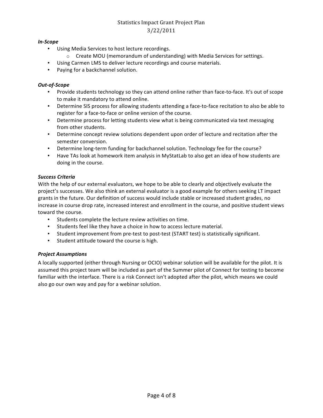#### *In>Scope*

- Using Media Services to host lecture recordings.
	- $\circ$  Create MOU (memorandum of understanding) with Media Services for settings.
- Using Carmen LMS to deliver lecture recordings and course materials.
- Paying for a backchannel solution.

#### *Out>of>Scope*

- Provide students technology so they can attend online rather than face-to-face. It's out of scope to make it mandatory to attend online.
- Determine SIS process for allowing students attending a face-to-face recitation to also be able to register for a face-to-face or online version of the course.
- Determine process for letting students view what is being communicated via text messaging from other students.
- Determine concept review solutions dependent upon order of lecture and recitation after the semester conversion.
- Determine long-term funding for backchannel solution. Technology fee for the course?
- Have TAs look at homework item analysis in MyStatLab to also get an idea of how students are doing in the course.

#### *Success!Criteria*

With the help of our external evaluators, we hope to be able to clearly and objectively evaluate the project's successes. We also think an external evaluator is a good example for others seeking LT impact grants in the future. Our definition of success would include stable or increased student grades, no increase in course drop rate, increased interest and enrollment in the course, and positive student views toward the course.

- Students complete the lecture review activities on time.
- Students feel like they have a choice in how to access lecture material.
- Student improvement from pre-test to post-test (START test) is statistically significant.
- Student attitude toward the course is high.

#### *Project!Assumptions*

A locally supported (either through Nursing or OCIO) webinar solution will be available for the pilot. It is assumed this project team will be included as part of the Summer pilot of Connect for testing to become familiar with the interface. There is a risk Connect isn't adopted after the pilot, which means we could also go our own way and pay for a webinar solution.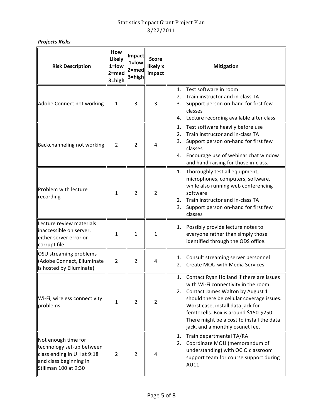# *Projects!Risks*

| <b>Risk Description</b>                                                                                                          | How<br>Likely<br>$1 =$ low<br>$2 = med$<br>$3 = high$ | Impact<br>1=low<br>$2 = med$<br>$3 = high$ | <b>Score</b><br>likely x<br>impact | <b>Mitigation</b>                                                                                                                                                                                                                                                                                                                            |  |  |
|----------------------------------------------------------------------------------------------------------------------------------|-------------------------------------------------------|--------------------------------------------|------------------------------------|----------------------------------------------------------------------------------------------------------------------------------------------------------------------------------------------------------------------------------------------------------------------------------------------------------------------------------------------|--|--|
| Adobe Connect not working                                                                                                        | $\mathbf{1}$                                          | 3                                          | 3                                  | Test software in room<br>1.<br>Train instructor and in-class TA<br>2.<br>Support person on-hand for first few<br>3.<br>classes<br>Lecture recording available after class<br>4.                                                                                                                                                              |  |  |
| Backchanneling not working                                                                                                       | $\overline{2}$                                        | $\overline{2}$                             | 4                                  | Test software heavily before use<br>1.<br>Train instructor and in-class TA<br>2.<br>Support person on-hand for first few<br>3.<br>classes<br>Encourage use of webinar chat window<br>4.<br>and hand-raising for those in-class.                                                                                                              |  |  |
| Problem with lecture<br>recording                                                                                                | 1                                                     | $\overline{2}$                             | $\overline{2}$                     | Thoroughly test all equipment,<br>1.<br>microphones, computers, software,<br>while also running web conferencing<br>software<br>Train instructor and in-class TA<br>2.<br>Support person on-hand for first few<br>3.<br>classes                                                                                                              |  |  |
| Lecture review materials<br>inaccessible on server,<br>either server error or<br>corrupt file.                                   | 1                                                     | $\mathbf{1}$                               | 1                                  | Possibly provide lecture notes to<br>1.<br>everyone rather than simply those<br>identified through the ODS office.                                                                                                                                                                                                                           |  |  |
| OSU streaming problems<br>(Adobe Connect, Elluminate<br>is hosted by Elluminate)                                                 | $\overline{2}$                                        | $\overline{2}$                             | 4                                  | Consult streaming server personnel<br>1.<br>Create MOU with Media Services<br>2.                                                                                                                                                                                                                                                             |  |  |
| Wi-Fi, wireless connectivity<br>problems                                                                                         | $\mathbf{1}$                                          | $\overline{2}$                             | $\overline{2}$                     | Contact Ryan Holland if there are issues<br>1.<br>with Wi-Fi connectivity in the room.<br>Contact James Walton by August 1<br>2.<br>should there be cellular coverage issues.<br>Worst case, install data jack for<br>femtocells. Box is around \$150-\$250.<br>There might be a cost to install the data<br>jack, and a monthly osunet fee. |  |  |
| Not enough time for<br>technology set-up between<br>class ending in UH at 9:18<br>and class beginning in<br>Stillman 100 at 9:30 | $\overline{2}$                                        | $\overline{2}$                             | 4                                  | Train departmental TA/RA<br>1.<br>Coordinate MOU (memorandum of<br>2.<br>understanding) with OCIO classroom<br>support team for course support during<br>AU11                                                                                                                                                                                |  |  |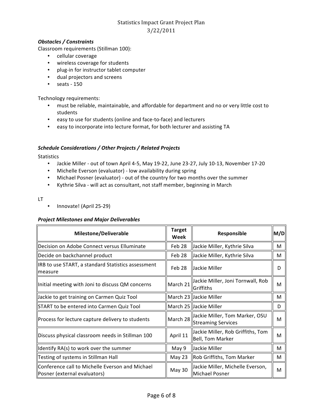#### *Obstacles!/!Constraints*

Classroom requirements (Stillman 100):

- cellular coverage
- wireless coverage for students
- plug-in for instructor tablet computer
- dual projectors and screens
- $\cdot$  seats 150

Technology requirements:

- must be reliable, maintainable, and affordable for department and no or very little cost to students
- easy to use for students (online and face-to-face) and lecturers
- easy to incorporate into lecture format, for both lecturer and assisting TA

#### Schedule Considerations / Other Projects / Related Projects

**Statistics** 

- Jackie Miller out of town April 4-5, May 19-22, June 23-27, July 10-13, November 17-20
- Michelle Everson (evaluator) low availability during spring
- Michael Posner (evaluator) out of the country for two months over the summer
- Kythrie Silva will act as consultant, not staff member, beginning in March

LT

Innovate! (April 25-29)

#### *Project!Milestones!and!Major!Deliverables*

| <b>Milestone/Deliverable</b>                                                    | <b>Target</b><br>Week | M/D <br>Responsible                                         |   |
|---------------------------------------------------------------------------------|-----------------------|-------------------------------------------------------------|---|
| Decision on Adobe Connect versus Elluminate                                     | Feb 28                | Jackie Miller, Kythrie Silva                                | м |
| Decide on backchannel product                                                   | Feb 28                | Jackie Miller, Kythrie Silva                                | м |
| IRB to use START, a standard Statistics assessment<br>Imeasure                  | Feb 28                | Jackie Miller                                               | D |
| Initial meeting with Joni to discuss QM concerns                                | March 21              | Jackie Miller, Joni Tornwall, Rob<br>Griffiths              | M |
| Jackie to get training on Carmen Quiz Tool                                      |                       | March 23 Jackie Miller                                      | M |
| START to be entered into Carmen Quiz Tool                                       |                       | March 25 JJackie Miller                                     | D |
| Process for lecture capture delivery to students                                | March 28              | Jackie Miller, Tom Marker, OSU<br><b>Streaming Services</b> | M |
| Discuss physical classroom needs in Stillman 100                                | April 11              | Jackie Miller, Rob Griffiths, Tom<br>Bell, Tom Marker       | M |
| ∥Identify RA(s) to work over the summer                                         | May 9                 | Jackie Miller                                               | M |
| Testing of systems in Stillman Hall                                             | May $23$              | Rob Griffiths, Tom Marker                                   | м |
| Conference call to Michelle Everson and Michael<br>Posner (external evaluators) | May 30                | Jackie Miller, Michelle Everson,<br>Michael Posner          | M |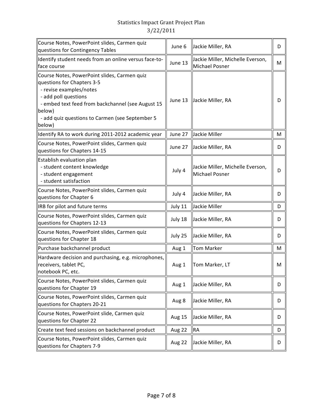| Course Notes, PowerPoint slides, Carmen quiz<br>questions for Contingency Tables                                                                                                                                                                          | June 6        | Jackie Miller, RA                                         |   |
|-----------------------------------------------------------------------------------------------------------------------------------------------------------------------------------------------------------------------------------------------------------|---------------|-----------------------------------------------------------|---|
| Identify student needs from an online versus face-to-<br>face course                                                                                                                                                                                      | June 13       | Jackie Miller, Michelle Everson,<br><b>Michael Posner</b> | M |
| Course Notes, PowerPoint slides, Carmen quiz<br>questions for Chapters 3-5<br>- revise examples/notes<br>- add poll questions<br>- embed text feed from backchannel (see August 15<br>below)<br>- add quiz questions to Carmen (see September 5<br>below) | June 13       | Jackie Miller, RA                                         | D |
| Identify RA to work during 2011-2012 academic year                                                                                                                                                                                                        | June 27       | Jackie Miller                                             | M |
| Course Notes, PowerPoint slides, Carmen quiz<br>questions for Chapters 14-15                                                                                                                                                                              | June 27       | Jackie Miller, RA                                         | D |
| Establish evaluation plan<br>- student content knowledge<br>- student engagement<br>- student satisfaction                                                                                                                                                | July 4        | Jackie Miller, Michelle Everson,<br><b>Michael Posner</b> | D |
| Course Notes, PowerPoint slides, Carmen quiz<br>questions for Chapter 6                                                                                                                                                                                   | July 4        | Jackie Miller, RA                                         | D |
| IRB for pilot and future terms                                                                                                                                                                                                                            | July 11       | Jackie Miller                                             | D |
| Course Notes, PowerPoint slides, Carmen quiz<br>questions for Chapters 12-13                                                                                                                                                                              | July 18       | Jackie Miller, RA                                         | D |
| Course Notes, PowerPoint slides, Carmen quiz<br>questions for Chapter 18                                                                                                                                                                                  | July 25       | Jackie Miller, RA                                         | D |
| Purchase backchannel product                                                                                                                                                                                                                              | Aug 1         | <b>Tom Marker</b>                                         | M |
| Hardware decision and purchasing, e.g. microphones,<br>receivers, tablet PC,<br>notebook PC, etc.                                                                                                                                                         | Aug 1         | Tom Marker, LT                                            | M |
| Course Notes, PowerPoint slides, Carmen quiz<br>questions for Chapter 19                                                                                                                                                                                  | Aug 1         | Jackie Miller, RA                                         | D |
| Course Notes, PowerPoint slides, Carmen quiz<br>questions for Chapters 20-21                                                                                                                                                                              | Aug 8         | Jackie Miller, RA                                         | D |
| Course Notes, PowerPoint slide, Carmen quiz<br>questions for Chapter 22                                                                                                                                                                                   | <b>Aug 15</b> | Jackie Miller, RA                                         | D |
| Create text feed sessions on backchannel product                                                                                                                                                                                                          | Aug 22        | <b>RA</b>                                                 | D |
| Course Notes, PowerPoint slides, Carmen quiz<br>questions for Chapters 7-9                                                                                                                                                                                | Aug 22        | Jackie Miller, RA                                         | D |